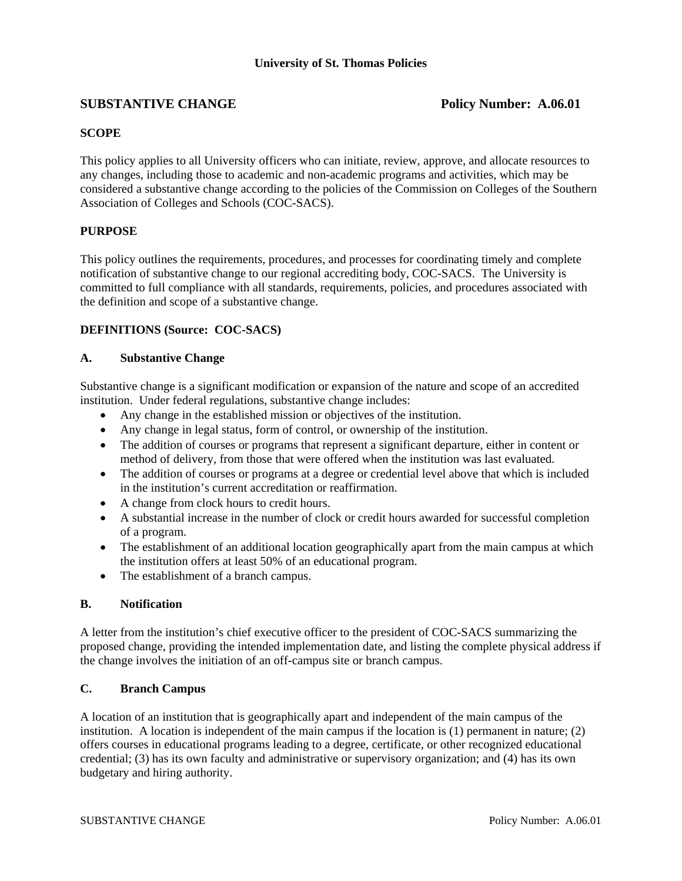# **SUBSTANTIVE CHANGE** Policy Number: A.06.01

## **SCOPE**

This policy applies to all University officers who can initiate, review, approve, and allocate resources to any changes, including those to academic and non-academic programs and activities, which may be considered a substantive change according to the policies of the Commission on Colleges of the Southern Association of Colleges and Schools (COC-SACS).

## **PURPOSE**

This policy outlines the requirements, procedures, and processes for coordinating timely and complete notification of substantive change to our regional accrediting body, COC-SACS. The University is committed to full compliance with all standards, requirements, policies, and procedures associated with the definition and scope of a substantive change.

## **DEFINITIONS (Source: COC-SACS)**

## **A. Substantive Change**

Substantive change is a significant modification or expansion of the nature and scope of an accredited institution. Under federal regulations, substantive change includes:

- Any change in the established mission or objectives of the institution.
- Any change in legal status, form of control, or ownership of the institution.
- The addition of courses or programs that represent a significant departure, either in content or method of delivery, from those that were offered when the institution was last evaluated.
- The addition of courses or programs at a degree or credential level above that which is included in the institution's current accreditation or reaffirmation.
- A change from clock hours to credit hours.
- A substantial increase in the number of clock or credit hours awarded for successful completion of a program.
- The establishment of an additional location geographically apart from the main campus at which the institution offers at least 50% of an educational program.
- The establishment of a branch campus.

## **B. Notification**

A letter from the institution's chief executive officer to the president of COC-SACS summarizing the proposed change, providing the intended implementation date, and listing the complete physical address if the change involves the initiation of an off-campus site or branch campus.

## **C. Branch Campus**

A location of an institution that is geographically apart and independent of the main campus of the institution. A location is independent of the main campus if the location is  $(1)$  permanent in nature;  $(2)$ offers courses in educational programs leading to a degree, certificate, or other recognized educational credential; (3) has its own faculty and administrative or supervisory organization; and (4) has its own budgetary and hiring authority.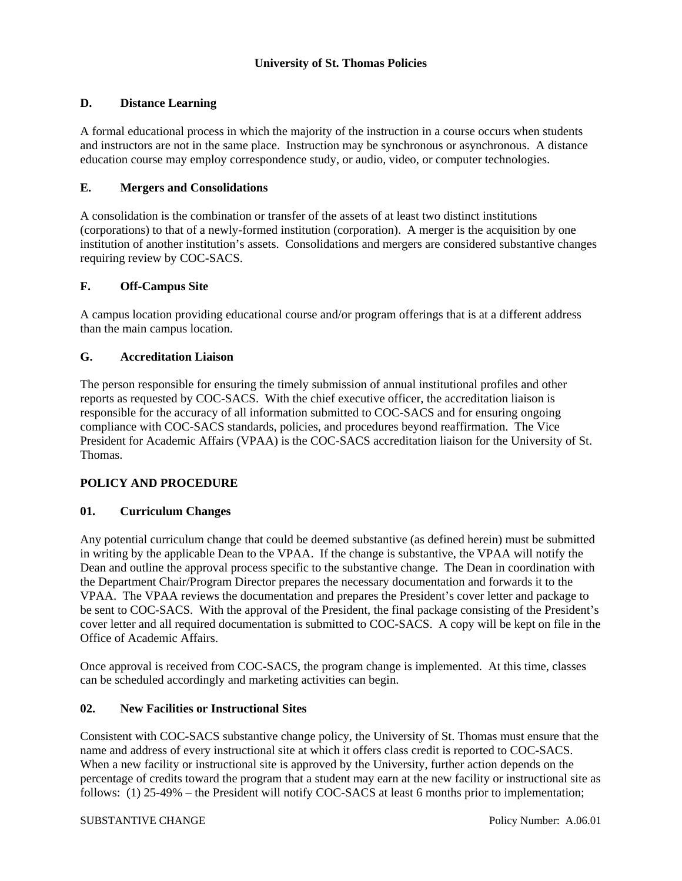## **D. Distance Learning**

A formal educational process in which the majority of the instruction in a course occurs when students and instructors are not in the same place. Instruction may be synchronous or asynchronous. A distance education course may employ correspondence study, or audio, video, or computer technologies.

### **E. Mergers and Consolidations**

A consolidation is the combination or transfer of the assets of at least two distinct institutions (corporations) to that of a newly-formed institution (corporation). A merger is the acquisition by one institution of another institution's assets. Consolidations and mergers are considered substantive changes requiring review by COC-SACS.

### **F. Off-Campus Site**

A campus location providing educational course and/or program offerings that is at a different address than the main campus location.

### **G. Accreditation Liaison**

The person responsible for ensuring the timely submission of annual institutional profiles and other reports as requested by COC-SACS. With the chief executive officer, the accreditation liaison is responsible for the accuracy of all information submitted to COC-SACS and for ensuring ongoing compliance with COC-SACS standards, policies, and procedures beyond reaffirmation. The Vice President for Academic Affairs (VPAA) is the COC-SACS accreditation liaison for the University of St. Thomas.

## **POLICY AND PROCEDURE**

#### **01. Curriculum Changes**

Any potential curriculum change that could be deemed substantive (as defined herein) must be submitted in writing by the applicable Dean to the VPAA. If the change is substantive, the VPAA will notify the Dean and outline the approval process specific to the substantive change. The Dean in coordination with the Department Chair/Program Director prepares the necessary documentation and forwards it to the VPAA. The VPAA reviews the documentation and prepares the President's cover letter and package to be sent to COC-SACS. With the approval of the President, the final package consisting of the President's cover letter and all required documentation is submitted to COC-SACS. A copy will be kept on file in the Office of Academic Affairs.

Once approval is received from COC-SACS, the program change is implemented. At this time, classes can be scheduled accordingly and marketing activities can begin.

#### **02. New Facilities or Instructional Sites**

Consistent with COC-SACS substantive change policy, the University of St. Thomas must ensure that the name and address of every instructional site at which it offers class credit is reported to COC-SACS. When a new facility or instructional site is approved by the University, further action depends on the percentage of credits toward the program that a student may earn at the new facility or instructional site as follows: (1) 25-49% – the President will notify COC-SACS at least 6 months prior to implementation;

#### SUBSTANTIVE CHANGE Policy Number: A.06.01